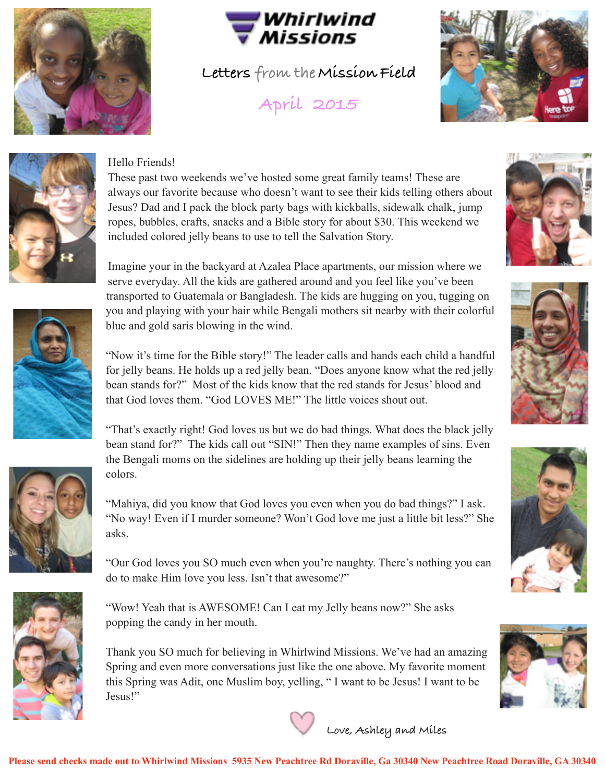



**Letters from theMission Field** 

**April 2015**





## Hello Friends!

These past two weekends we've hosted some great family teams! These are always our favorite because who doesn't want to see their kids telling others about Jesus? Dad and I pack the block party bags with kickballs, sidewalk chalk, jump ropes, bubbles, crafts, snacks and a Bible story for about \$30. This weekend we included colored jelly beans to use to tell the Salvation Story.

Imagine your in the backyard at Azalea Place apartments, our mission where we serve everyday. All the kids are gathered around and you feel like you've been transported to Guatemala or Bangladesh. The kids are hugging on you, tugging on you and playing with your hair while Bengali mothers sit nearby with their colorful blue and gold saris blowing in the wind.



"Now it's time for the Bible story!" The leader calls and hands each child a handful for jelly beans. He holds up a red jelly bean. "Does anyone know what the red jelly bean stands for?" Most of the kids know that the red stands for Jesus' blood and that God loves them. "God LOVES ME!" The little voices shout out.

"That's exactly right! God loves us but we do bad things. What does the black jelly bean stand for?" The kids call out "SIN!" Then they name examples of sins. Even the Bengali moms on the sidelines are holding up their jelly beans learning the colors.



"Our God loves you SO much even when you're naughty. There's nothing you can do to make Him love you less. Isn't that awesome?"



"Wow! Yeah that is AWESOME! Can I eat my Jelly beans now?" She asks popping the candy in her mouth.

Thank you SO much for believing in Whirlwind Missions. We've had an amazing Spring and even more conversations just like the one above. My favorite moment this Spring was Adit, one Muslim boy, yelling, " I want to be Jesus! I want to be Jesus!"



**Love, Ashley and Miles**